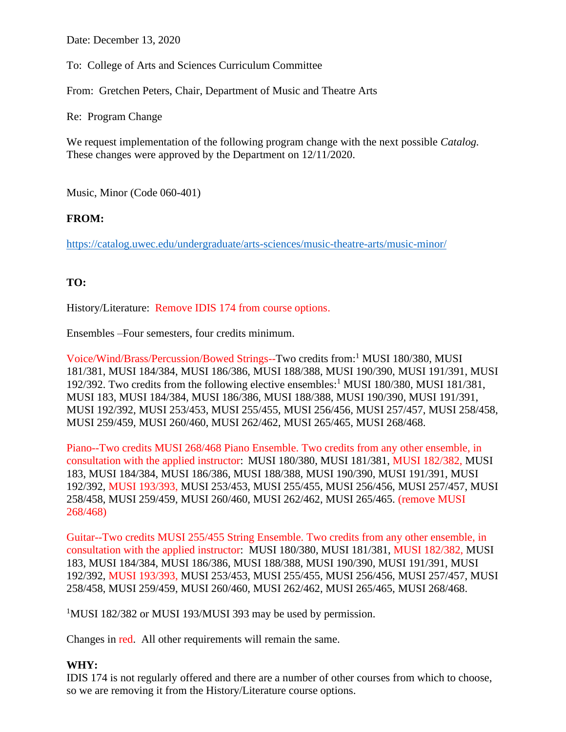Date: December 13, 2020

To: College of Arts and Sciences Curriculum Committee

From: Gretchen Peters, Chair, Department of Music and Theatre Arts

Re: Program Change

We request implementation of the following program change with the next possible *Catalog.* These changes were approved by the Department on 12/11/2020.

Music, Minor (Code 060-401)

## **FROM:**

<https://catalog.uwec.edu/undergraduate/arts-sciences/music-theatre-arts/music-minor/>

## **TO:**

History/Literature: Remove IDIS 174 from course options.

Ensembles –Four semesters, four credits minimum.

Voice/Wind/Brass/Percussion/Bowed Strings--Two credits from: <sup>1</sup> MUSI 180/380, MUSI 181/381, MUSI 184/384, MUSI 186/386, MUSI 188/388, MUSI 190/390, MUSI 191/391, MUSI 192/392. Two credits from the following elective ensembles: <sup>1</sup> MUSI 180/380, MUSI 181/381, MUSI 183, MUSI 184/384, MUSI 186/386, MUSI 188/388, MUSI 190/390, MUSI 191/391, MUSI 192/392, MUSI 253/453, MUSI 255/455, MUSI 256/456, MUSI 257/457, MUSI 258/458, MUSI 259/459, MUSI 260/460, MUSI 262/462, MUSI 265/465, MUSI 268/468.

Piano--Two credits MUSI 268/468 Piano Ensemble. Two credits from any other ensemble, in consultation with the applied instructor: MUSI 180/380, MUSI 181/381, MUSI 182/382, MUSI 183, MUSI 184/384, MUSI 186/386, MUSI 188/388, MUSI 190/390, MUSI 191/391, MUSI 192/392, MUSI 193/393, MUSI 253/453, MUSI 255/455, MUSI 256/456, MUSI 257/457, MUSI 258/458, MUSI 259/459, MUSI 260/460, MUSI 262/462, MUSI 265/465. (remove MUSI 268/468)

Guitar--Two credits MUSI 255/455 String Ensemble. Two credits from any other ensemble, in consultation with the applied instructor: MUSI 180/380, MUSI 181/381, MUSI 182/382, MUSI 183, MUSI 184/384, MUSI 186/386, MUSI 188/388, MUSI 190/390, MUSI 191/391, MUSI 192/392, MUSI 193/393, MUSI 253/453, MUSI 255/455, MUSI 256/456, MUSI 257/457, MUSI 258/458, MUSI 259/459, MUSI 260/460, MUSI 262/462, MUSI 265/465, MUSI 268/468.

<sup>1</sup>MUSI 182/382 or MUSI 193/MUSI 393 may be used by permission.

Changes in red. All other requirements will remain the same.

## **WHY:**

IDIS 174 is not regularly offered and there are a number of other courses from which to choose, so we are removing it from the History/Literature course options.